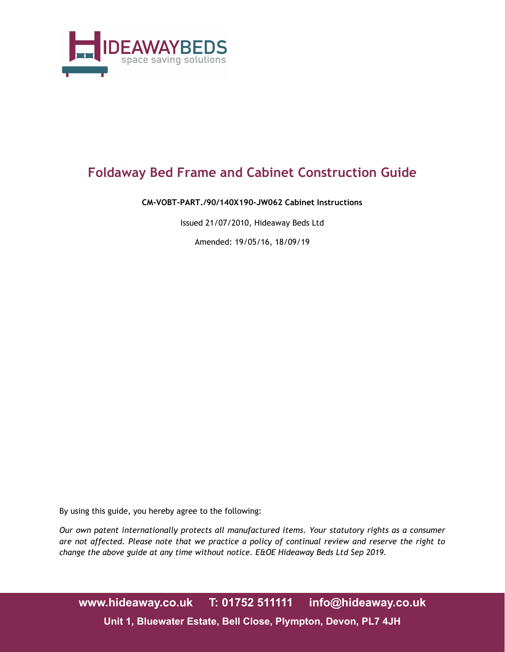

# **Foldaway Bed Frame and Cabinet Construction Guide**

#### **CM-VOBT-PART./90/140X190-JW062 Cabinet Instructions**

Issued 21/07/2010, Hideaway Beds Ltd

Amended: 19/05/16, 18/09/19

By using this guide, you hereby agree to the following:

*Our own patent internationally protects all manufactured items. Your statutory rights as a consumer are not affected. Please note that we practice a policy of continual review and reserve the right to change the above guide at any time without notice. E&OE Hideaway Beds Ltd Sep 2019.*

**www.hideaway.co.uk T: 01752 511111 info@hideaway.co.uk Unit 1, Bluewater Estate, Bell Close, Plympton, Devon, PL7 4JH**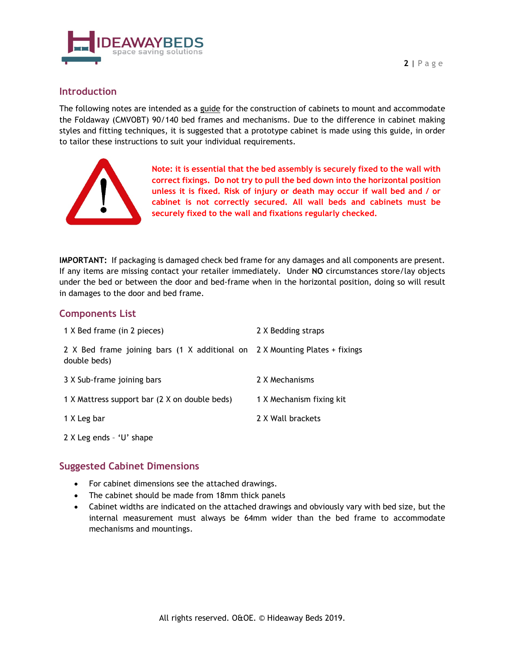

## **Introduction**

The following notes are intended as a guide for the construction of cabinets to mount and accommodate the Foldaway (CMVOBT) 90/140 bed frames and mechanisms. Due to the difference in cabinet making styles and fitting techniques, it is suggested that a prototype cabinet is made using this guide, in order to tailor these instructions to suit your individual requirements.



**Note: it is essential that the bed assembly is securely fixed to the wall with correct fixings. Do not try to pull the bed down into the horizontal position unless it is fixed. Risk of injury or death may occur if wall bed and / or cabinet is not correctly secured. All wall beds and cabinets must be securely fixed to the wall and fixations regularly checked.**

**IMPORTANT:** If packaging is damaged check bed frame for any damages and all components are present. If any items are missing contact your retailer immediately. Under **NO** circumstances store/lay objects under the bed or between the door and bed-frame when in the horizontal position, doing so will result in damages to the door and bed frame.

## **Components List**

| 1 X Bed frame (in 2 pieces)                                                                 | 2 X Bedding straps       |
|---------------------------------------------------------------------------------------------|--------------------------|
| 2 X Bed frame joining bars (1 X additional on 2 X Mounting Plates + fixings<br>double beds) |                          |
| 3 X Sub-frame joining bars                                                                  | 2 X Mechanisms           |
| 1 X Mattress support bar (2 X on double beds)                                               | 1 X Mechanism fixing kit |
| 1 X Leg bar                                                                                 | 2 X Wall brackets        |
| $2 \times$ Leg ends - 'U' shape                                                             |                          |

## **Suggested Cabinet Dimensions**

- For cabinet dimensions see the attached drawings.
- The cabinet should be made from 18mm thick panels
- Cabinet widths are indicated on the attached drawings and obviously vary with bed size, but the internal measurement must always be 64mm wider than the bed frame to accommodate mechanisms and mountings.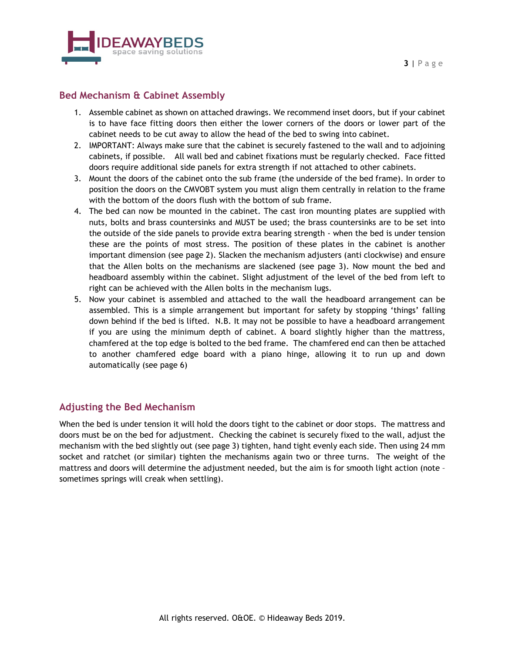

#### **Bed Mechanism & Cabinet Assembly**

- 1. Assemble cabinet as shown on attached drawings. We recommend inset doors, but if your cabinet is to have face fitting doors then either the lower corners of the doors or lower part of the cabinet needs to be cut away to allow the head of the bed to swing into cabinet.
- 2. IMPORTANT: Always make sure that the cabinet is securely fastened to the wall and to adjoining cabinets, if possible. All wall bed and cabinet fixations must be regularly checked. Face fitted doors require additional side panels for extra strength if not attached to other cabinets.
- 3. Mount the doors of the cabinet onto the sub frame (the underside of the bed frame). In order to position the doors on the CMVOBT system you must align them centrally in relation to the frame with the bottom of the doors flush with the bottom of sub frame.
- 4. The bed can now be mounted in the cabinet. The cast iron mounting plates are supplied with nuts, bolts and brass countersinks and MUST be used; the brass countersinks are to be set into the outside of the side panels to provide extra bearing strength - when the bed is under tension these are the points of most stress. The position of these plates in the cabinet is another important dimension (see page 2). Slacken the mechanism adjusters (anti clockwise) and ensure that the Allen bolts on the mechanisms are slackened (see page 3). Now mount the bed and headboard assembly within the cabinet. Slight adjustment of the level of the bed from left to right can be achieved with the Allen bolts in the mechanism lugs.
- 5. Now your cabinet is assembled and attached to the wall the headboard arrangement can be assembled. This is a simple arrangement but important for safety by stopping 'things' falling down behind if the bed is lifted. N.B. It may not be possible to have a headboard arrangement if you are using the minimum depth of cabinet. A board slightly higher than the mattress, chamfered at the top edge is bolted to the bed frame. The chamfered end can then be attached to another chamfered edge board with a piano hinge, allowing it to run up and down automatically (see page 6)

## **Adjusting the Bed Mechanism**

When the bed is under tension it will hold the doors tight to the cabinet or door stops. The mattress and doors must be on the bed for adjustment. Checking the cabinet is securely fixed to the wall, adjust the mechanism with the bed slightly out (see page 3) tighten, hand tight evenly each side. Then using 24 mm socket and ratchet (or similar) tighten the mechanisms again two or three turns. The weight of the mattress and doors will determine the adjustment needed, but the aim is for smooth light action (note – sometimes springs will creak when settling).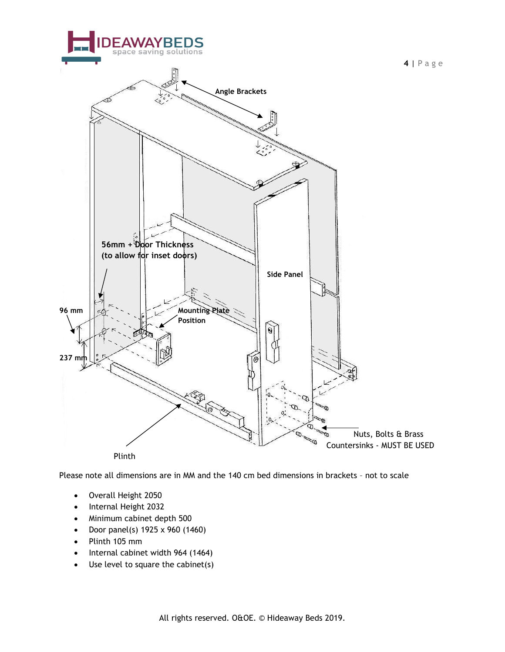

Please note all dimensions are in MM and the 140 cm bed dimensions in brackets – not to scale

- Overall Height 2050
- Internal Height 2032
- Minimum cabinet depth 500
- Door panel(s) 1925 x 960 (1460)
- Plinth 105 mm
- Internal cabinet width 964 (1464)
- Use level to square the cabinet(s)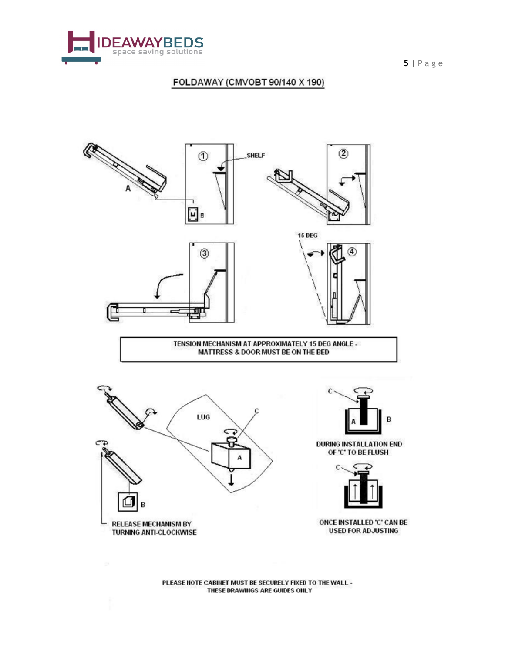

**5** | Page

## FOLDAWAY (CMVOBT 90/140 X 190)



**MATTRESS & DOOR MUST BE ON THE BED** 





DURING INSTALLATION END OF 'C' TO BE FLUSH



ONCE INSTALLED 'C' CAN BE **USED FOR ADJUSTING** 

PLEASE NOTE CABINET MUST BE SECURELY FIXED TO THE WALL -THESE DRAWINGS ARE GUIDES ONLY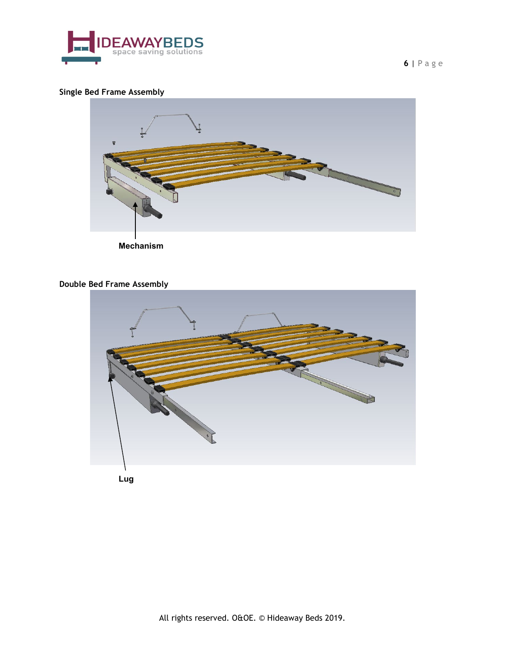

**Single Bed Frame Assembly**



**Mechanism** 

## **Double Bed Frame Assembly**



**Lug**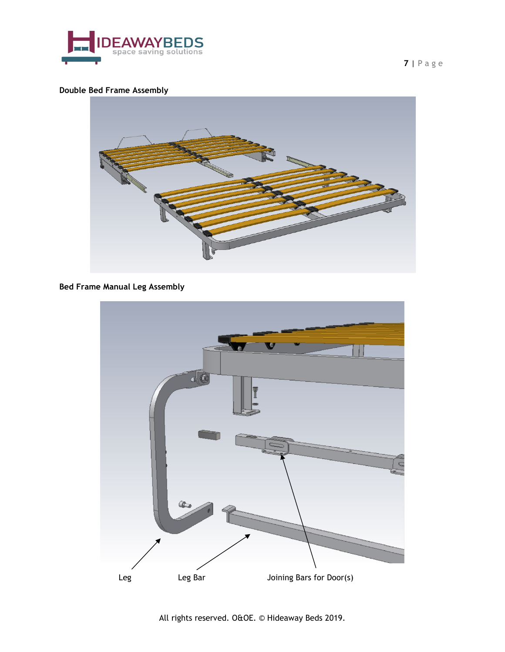

## **Double Bed Frame Assembly**



## **Bed Frame Manual Leg Assembly**

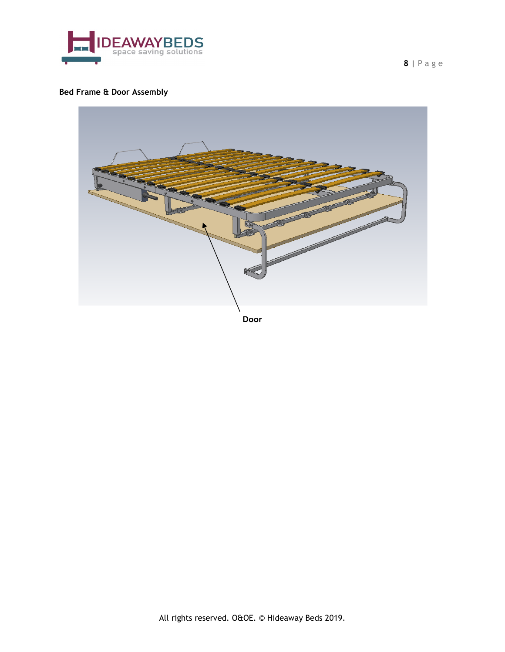

## **Bed Frame & Door Assembly**



**Door**

**8** | Page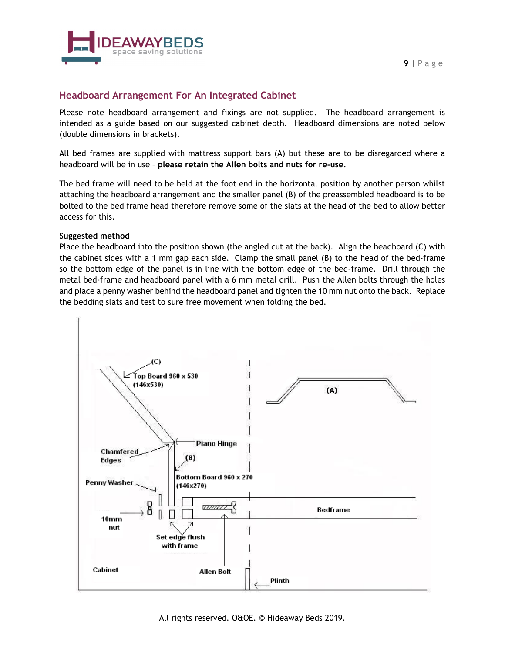

## **Headboard Arrangement For An Integrated Cabinet**

Please note headboard arrangement and fixings are not supplied. The headboard arrangement is intended as a guide based on our suggested cabinet depth. Headboard dimensions are noted below (double dimensions in brackets).

All bed frames are supplied with mattress support bars (A) but these are to be disregarded where a headboard will be in use – **please retain the Allen bolts and nuts for re-use**.

The bed frame will need to be held at the foot end in the horizontal position by another person whilst attaching the headboard arrangement and the smaller panel (B) of the preassembled headboard is to be bolted to the bed frame head therefore remove some of the slats at the head of the bed to allow better access for this.

#### **Suggested method**

Place the headboard into the position shown (the angled cut at the back). Align the headboard (C) with the cabinet sides with a 1 mm gap each side. Clamp the small panel (B) to the head of the bed-frame so the bottom edge of the panel is in line with the bottom edge of the bed-frame. Drill through the metal bed-frame and headboard panel with a 6 mm metal drill. Push the Allen bolts through the holes and place a penny washer behind the headboard panel and tighten the 10 mm nut onto the back. Replace the bedding slats and test to sure free movement when folding the bed.